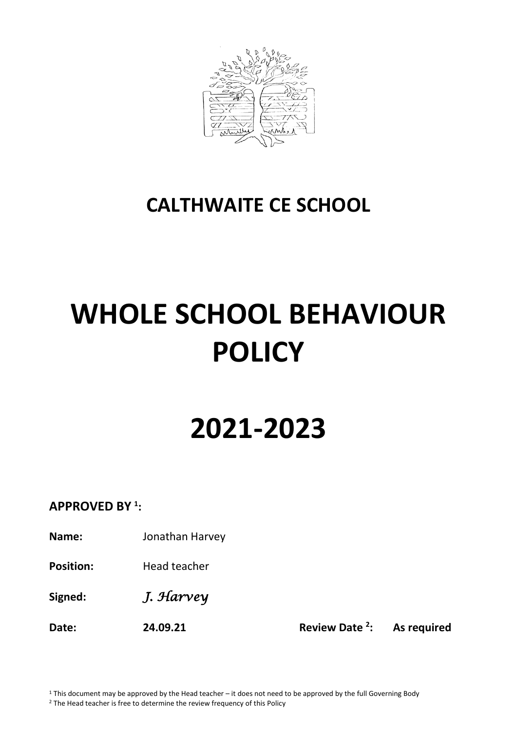

## **CALTHWAITE CE SCHOOL**

# **WHOLE SCHOOL BEHAVIOUR POLICY**

## **2021-2023**

## **APPROVED BY <sup>1</sup> :**

**Name:** Jonathan Harvey

**Position:** Head teacher

**Signed:** *J. Harvey* 

**Date: 24.09.21 Review Date <sup>2</sup> : As required**

 $1$  This document may be approved by the Head teacher – it does not need to be approved by the full Governing Body <sup>2</sup> The Head teacher is free to determine the review frequency of this Policy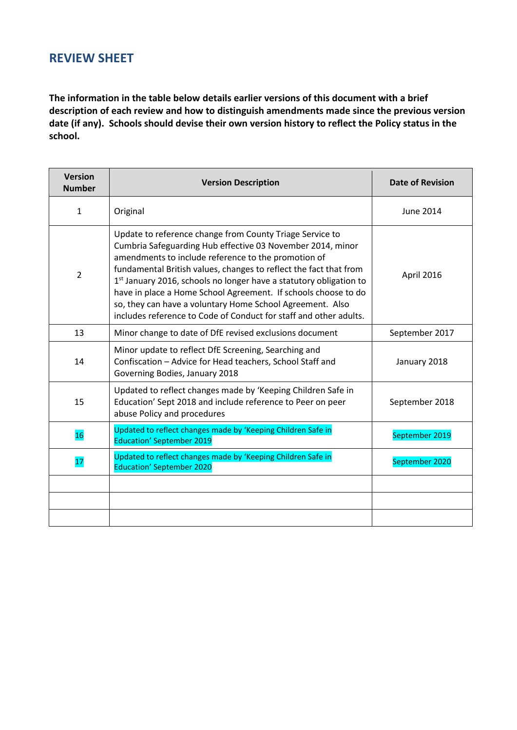## **REVIEW SHEET**

**The information in the table below details earlier versions of this document with a brief description of each review and how to distinguish amendments made since the previous version date (if any). Schools should devise their own version history to reflect the Policy status in the school.**

| <b>Version</b><br><b>Number</b> | <b>Version Description</b>                                                                                                                                                                                                                                                                                                                                                                                                                                                                                                               | <b>Date of Revision</b> |
|---------------------------------|------------------------------------------------------------------------------------------------------------------------------------------------------------------------------------------------------------------------------------------------------------------------------------------------------------------------------------------------------------------------------------------------------------------------------------------------------------------------------------------------------------------------------------------|-------------------------|
| $\mathbf{1}$                    | Original                                                                                                                                                                                                                                                                                                                                                                                                                                                                                                                                 | June 2014               |
| $\overline{2}$                  | Update to reference change from County Triage Service to<br>Cumbria Safeguarding Hub effective 03 November 2014, minor<br>amendments to include reference to the promotion of<br>fundamental British values, changes to reflect the fact that from<br>1 <sup>st</sup> January 2016, schools no longer have a statutory obligation to<br>have in place a Home School Agreement. If schools choose to do<br>so, they can have a voluntary Home School Agreement. Also<br>includes reference to Code of Conduct for staff and other adults. | April 2016              |
| 13                              | Minor change to date of DfE revised exclusions document                                                                                                                                                                                                                                                                                                                                                                                                                                                                                  | September 2017          |
| 14                              | Minor update to reflect DfE Screening, Searching and<br>Confiscation - Advice for Head teachers, School Staff and<br>Governing Bodies, January 2018                                                                                                                                                                                                                                                                                                                                                                                      | January 2018            |
| 15                              | Updated to reflect changes made by 'Keeping Children Safe in<br>Education' Sept 2018 and include reference to Peer on peer<br>abuse Policy and procedures                                                                                                                                                                                                                                                                                                                                                                                | September 2018          |
| 16                              | Updated to reflect changes made by 'Keeping Children Safe in<br><b>Education' September 2019</b>                                                                                                                                                                                                                                                                                                                                                                                                                                         | September 2019          |
| 17                              | Updated to reflect changes made by 'Keeping Children Safe in<br><b>Education' September 2020</b>                                                                                                                                                                                                                                                                                                                                                                                                                                         | September 2020          |
|                                 |                                                                                                                                                                                                                                                                                                                                                                                                                                                                                                                                          |                         |
|                                 |                                                                                                                                                                                                                                                                                                                                                                                                                                                                                                                                          |                         |
|                                 |                                                                                                                                                                                                                                                                                                                                                                                                                                                                                                                                          |                         |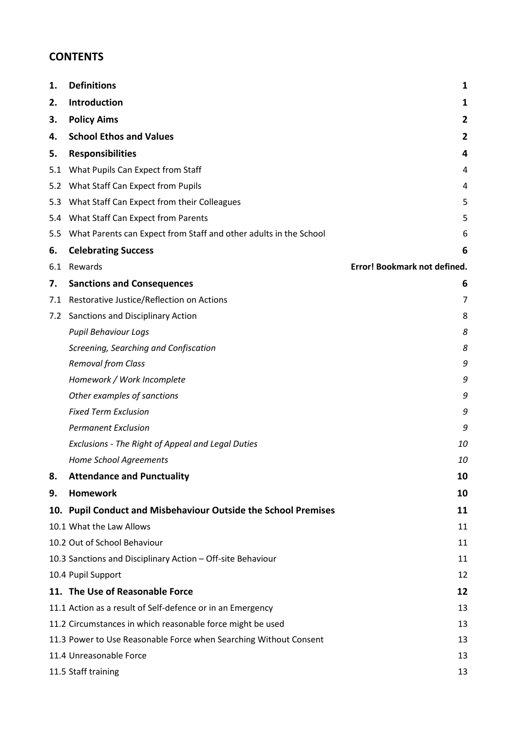## **CONTENTS**

| 1.  | <b>Definitions</b>                                                | 1                            |
|-----|-------------------------------------------------------------------|------------------------------|
| 2.  | Introduction                                                      | 1                            |
| 3.  | <b>Policy Aims</b>                                                | 2                            |
| 4.  | <b>School Ethos and Values</b>                                    | $\overline{2}$               |
| 5.  | <b>Responsibilities</b>                                           | 4                            |
|     | 5.1 What Pupils Can Expect from Staff                             | 4                            |
|     | 5.2 What Staff Can Expect from Pupils                             | 4                            |
|     | 5.3 What Staff Can Expect from their Colleagues                   | 5                            |
|     | 5.4 What Staff Can Expect from Parents                            | 5                            |
| 5.5 | What Parents can Expect from Staff and other adults in the School | 6                            |
| 6.  | <b>Celebrating Success</b>                                        | 6                            |
| 6.1 | Rewards                                                           | Error! Bookmark not defined. |
| 7.  | <b>Sanctions and Consequences</b>                                 | 6                            |
|     | 7.1 Restorative Justice/Reflection on Actions                     | 7                            |
|     | 7.2 Sanctions and Disciplinary Action                             | 8                            |
|     | <b>Pupil Behaviour Logs</b>                                       | 8                            |
|     | Screening, Searching and Confiscation                             | 8                            |
|     | <b>Removal from Class</b>                                         | 9                            |
|     | Homework / Work Incomplete                                        | 9                            |
|     | Other examples of sanctions                                       | 9                            |
|     | <b>Fixed Term Exclusion</b>                                       | 9                            |
|     | <b>Permanent Exclusion</b>                                        | 9                            |
|     | Exclusions - The Right of Appeal and Legal Duties                 | 10                           |
|     | <b>Home School Agreements</b>                                     | 10                           |
| 8.  | <b>Attendance and Punctuality</b>                                 | 10                           |
| 9.  | <b>Homework</b>                                                   | 10                           |
|     | 10. Pupil Conduct and Misbehaviour Outside the School Premises    | 11                           |
|     | 10.1 What the Law Allows                                          | 11                           |
|     | 10.2 Out of School Behaviour                                      | 11                           |
|     | 10.3 Sanctions and Disciplinary Action - Off-site Behaviour       | 11                           |
|     | 10.4 Pupil Support                                                | 12                           |
|     | 11. The Use of Reasonable Force                                   | 12                           |
|     | 11.1 Action as a result of Self-defence or in an Emergency        | 13                           |
|     | 11.2 Circumstances in which reasonable force might be used        | 13                           |
|     | 11.3 Power to Use Reasonable Force when Searching Without Consent | 13                           |
|     | 11.4 Unreasonable Force                                           | 13                           |
|     | 11.5 Staff training                                               | 13                           |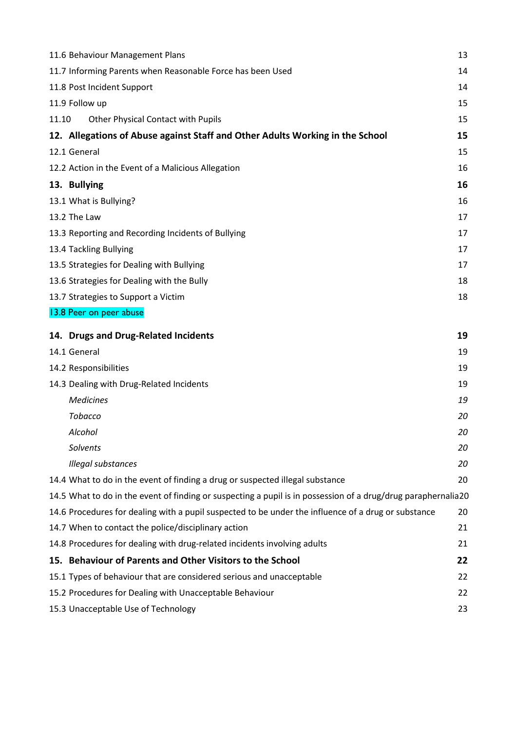|       | 11.6 Behaviour Management Plans                                                                               | 13 |
|-------|---------------------------------------------------------------------------------------------------------------|----|
|       | 11.7 Informing Parents when Reasonable Force has been Used                                                    | 14 |
|       | 11.8 Post Incident Support                                                                                    | 14 |
|       | 11.9 Follow up                                                                                                | 15 |
| 11.10 | Other Physical Contact with Pupils                                                                            | 15 |
|       | 12. Allegations of Abuse against Staff and Other Adults Working in the School                                 | 15 |
|       | 12.1 General                                                                                                  | 15 |
|       | 12.2 Action in the Event of a Malicious Allegation                                                            | 16 |
|       | 13. Bullying                                                                                                  | 16 |
|       | 13.1 What is Bullying?                                                                                        | 16 |
|       | 13.2 The Law                                                                                                  | 17 |
|       | 13.3 Reporting and Recording Incidents of Bullying                                                            | 17 |
|       | 13.4 Tackling Bullying                                                                                        | 17 |
|       | 13.5 Strategies for Dealing with Bullying                                                                     | 17 |
|       | 13.6 Strategies for Dealing with the Bully                                                                    | 18 |
|       | 13.7 Strategies to Support a Victim                                                                           | 18 |
|       | 13.8 Peer on peer abuse                                                                                       |    |
|       | 14. Drugs and Drug-Related Incidents                                                                          | 19 |
|       | 14.1 General                                                                                                  | 19 |
|       | 14.2 Responsibilities                                                                                         | 19 |
|       | 14.3 Dealing with Drug-Related Incidents                                                                      | 19 |
|       | <b>Medicines</b>                                                                                              | 19 |
|       | <b>Tobacco</b>                                                                                                | 20 |
|       | Alcohol                                                                                                       | 20 |
|       | Solvents                                                                                                      | 20 |
|       | Illegal substances                                                                                            | 20 |
|       | 14.4 What to do in the event of finding a drug or suspected illegal substance                                 | 20 |
|       | 14.5 What to do in the event of finding or suspecting a pupil is in possession of a drug/drug paraphernalia20 |    |
|       | 14.6 Procedures for dealing with a pupil suspected to be under the influence of a drug or substance           | 20 |
|       | 14.7 When to contact the police/disciplinary action                                                           | 21 |
|       | 14.8 Procedures for dealing with drug-related incidents involving adults                                      | 21 |
|       | 15. Behaviour of Parents and Other Visitors to the School                                                     | 22 |
|       | 15.1 Types of behaviour that are considered serious and unacceptable                                          | 22 |
|       | 15.2 Procedures for Dealing with Unacceptable Behaviour                                                       | 22 |
|       | 15.3 Unacceptable Use of Technology                                                                           | 23 |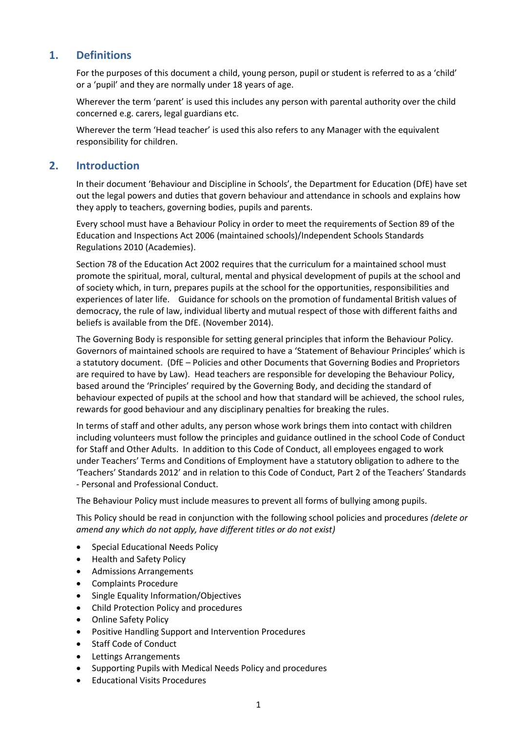## <span id="page-4-0"></span>**1. Definitions**

For the purposes of this document a child, young person, pupil or student is referred to as a 'child' or a 'pupil' and they are normally under 18 years of age.

Wherever the term 'parent' is used this includes any person with parental authority over the child concerned e.g. carers, legal guardians etc.

Wherever the term 'Head teacher' is used this also refers to any Manager with the equivalent responsibility for children.

#### <span id="page-4-1"></span>**2. Introduction**

In their document 'Behaviour and Discipline in Schools', the Department for Education (DfE) have set out the legal powers and duties that govern behaviour and attendance in schools and explains how they apply to teachers, governing bodies, pupils and parents.

Every school must have a Behaviour Policy in order to meet the requirements of Section 89 of the Education and Inspections Act 2006 (maintained schools)/Independent Schools Standards Regulations 2010 (Academies).

Section 78 of the Education Act 2002 requires that the curriculum for a maintained school must promote the spiritual, moral, cultural, mental and physical development of pupils at the school and of society which, in turn, prepares pupils at the school for the opportunities, responsibilities and experiences of later life. Guidance for schools on the promotion of fundamental British values of democracy, the rule of law, individual liberty and mutual respect of those with different faiths and beliefs is available from the DfE. (November 2014).

The Governing Body is responsible for setting general principles that inform the Behaviour Policy. Governors of maintained schools are required to have a 'Statement of Behaviour Principles' which is a statutory document. (DfE – Policies and other Documents that Governing Bodies and Proprietors are required to have by Law). Head teachers are responsible for developing the Behaviour Policy, based around the 'Principles' required by the Governing Body, and deciding the standard of behaviour expected of pupils at the school and how that standard will be achieved, the school rules, rewards for good behaviour and any disciplinary penalties for breaking the rules.

In terms of staff and other adults, any person whose work brings them into contact with children including volunteers must follow the principles and guidance outlined in the school Code of Conduct for Staff and Other Adults. In addition to this Code of Conduct, all employees engaged to work under Teachers' Terms and Conditions of Employment have a statutory obligation to adhere to the 'Teachers' Standards 2012' and in relation to this Code of Conduct, Part 2 of the Teachers' Standards - Personal and Professional Conduct.

The Behaviour Policy must include measures to prevent all forms of bullying among pupils.

This Policy should be read in conjunction with the following school policies and procedures *(delete or amend any which do not apply, have different titles or do not exist)*

- Special Educational Needs Policy
- Health and Safety Policy
- Admissions Arrangements
- Complaints Procedure
- Single Equality Information/Objectives
- Child Protection Policy and procedures
- Online Safety Policy
- Positive Handling Support and Intervention Procedures
- Staff Code of Conduct
- Lettings Arrangements
- Supporting Pupils with Medical Needs Policy and procedures
- Educational Visits Procedures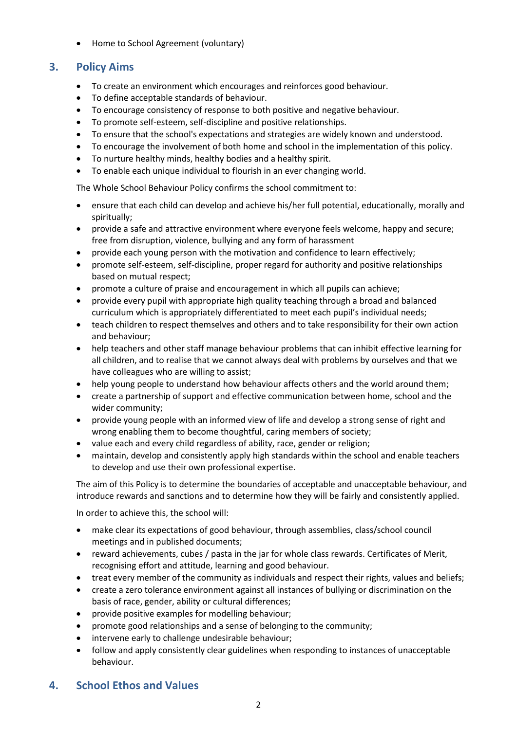• Home to School Agreement (voluntary)

## <span id="page-5-0"></span>**3. Policy Aims**

- To create an environment which encourages and reinforces good behaviour.
- To define acceptable standards of behaviour.
- To encourage consistency of response to both positive and negative behaviour.
- To promote self-esteem, self-discipline and positive relationships.
- To ensure that the school's expectations and strategies are widely known and understood.
- To encourage the involvement of both home and school in the implementation of this policy.
- To nurture healthy minds, healthy bodies and a healthy spirit.
- To enable each unique individual to flourish in an ever changing world.

The Whole School Behaviour Policy confirms the school commitment to:

- ensure that each child can develop and achieve his/her full potential, educationally, morally and spiritually;
- provide a safe and attractive environment where everyone feels welcome, happy and secure; free from disruption, violence, bullying and any form of harassment
- provide each young person with the motivation and confidence to learn effectively;
- promote self-esteem, self-discipline, proper regard for authority and positive relationships based on mutual respect;
- promote a culture of praise and encouragement in which all pupils can achieve;
- provide every pupil with appropriate high quality teaching through a broad and balanced curriculum which is appropriately differentiated to meet each pupil's individual needs;
- teach children to respect themselves and others and to take responsibility for their own action and behaviour;
- help teachers and other staff manage behaviour problems that can inhibit effective learning for all children, and to realise that we cannot always deal with problems by ourselves and that we have colleagues who are willing to assist;
- help young people to understand how behaviour affects others and the world around them;
- create a partnership of support and effective communication between home, school and the wider community;
- provide young people with an informed view of life and develop a strong sense of right and wrong enabling them to become thoughtful, caring members of society;
- value each and every child regardless of ability, race, gender or religion;
- maintain, develop and consistently apply high standards within the school and enable teachers to develop and use their own professional expertise.

The aim of this Policy is to determine the boundaries of acceptable and unacceptable behaviour, and introduce rewards and sanctions and to determine how they will be fairly and consistently applied.

In order to achieve this, the school will:

- make clear its expectations of good behaviour, through assemblies, class/school council meetings and in published documents;
- reward achievements, cubes / pasta in the jar for whole class rewards. Certificates of Merit, recognising effort and attitude, learning and good behaviour.
- treat every member of the community as individuals and respect their rights, values and beliefs;
- create a zero tolerance environment against all instances of bullying or discrimination on the basis of race, gender, ability or cultural differences;
- provide positive examples for modelling behaviour;
- promote good relationships and a sense of belonging to the community;
- intervene early to challenge undesirable behaviour;
- follow and apply consistently clear guidelines when responding to instances of unacceptable behaviour.

## <span id="page-5-1"></span>**4. School Ethos and Values**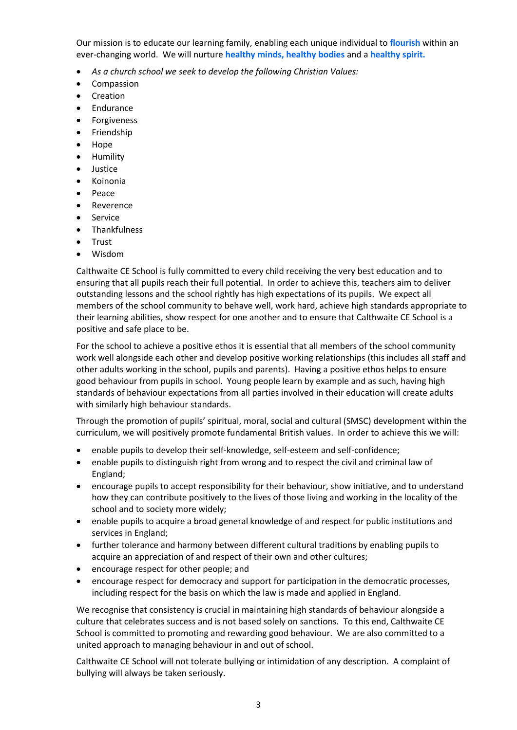Our mission is to educate our learning family, enabling each unique individual to **flourish** within an ever-changing world. We will nurture **healthy minds, healthy bodies** and a **healthy spirit.**

- *As a church school we seek to develop the following Christian Values:*
- Compassion
- Creation
- Endurance
- Forgiveness
- Friendship
- Hope
- Humility
- Justice
- Koinonia
- Peace
- Reverence
- **Service**
- **Thankfulness**
- Trust
- Wisdom

Calthwaite CE School is fully committed to every child receiving the very best education and to ensuring that all pupils reach their full potential. In order to achieve this, teachers aim to deliver outstanding lessons and the school rightly has high expectations of its pupils. We expect all members of the school community to behave well, work hard, achieve high standards appropriate to their learning abilities, show respect for one another and to ensure that Calthwaite CE School is a positive and safe place to be.

For the school to achieve a positive ethos it is essential that all members of the school community work well alongside each other and develop positive working relationships (this includes all staff and other adults working in the school, pupils and parents). Having a positive ethos helps to ensure good behaviour from pupils in school. Young people learn by example and as such, having high standards of behaviour expectations from all parties involved in their education will create adults with similarly high behaviour standards.

Through the promotion of pupils' spiritual, moral, social and cultural (SMSC) development within the curriculum, we will positively promote fundamental British values. In order to achieve this we will:

- enable pupils to develop their self-knowledge, self-esteem and self-confidence;
- enable pupils to distinguish right from wrong and to respect the civil and criminal law of England;
- encourage pupils to accept responsibility for their behaviour, show initiative, and to understand how they can contribute positively to the lives of those living and working in the locality of the school and to society more widely;
- enable pupils to acquire a broad general knowledge of and respect for public institutions and services in England;
- further tolerance and harmony between different cultural traditions by enabling pupils to acquire an appreciation of and respect of their own and other cultures;
- encourage respect for other people; and
- encourage respect for democracy and support for participation in the democratic processes, including respect for the basis on which the law is made and applied in England.

We recognise that consistency is crucial in maintaining high standards of behaviour alongside a culture that celebrates success and is not based solely on sanctions. To this end, Calthwaite CE School is committed to promoting and rewarding good behaviour. We are also committed to a united approach to managing behaviour in and out of school.

Calthwaite CE School will not tolerate bullying or intimidation of any description. A complaint of bullying will always be taken seriously.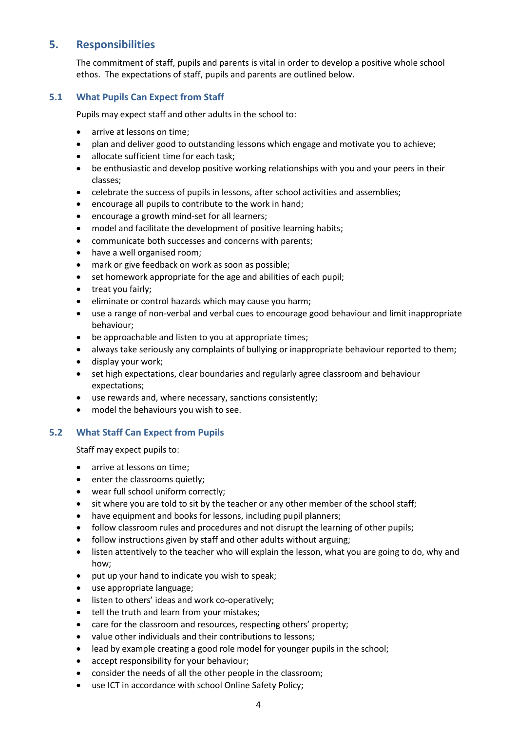## <span id="page-7-0"></span>**5. Responsibilities**

The commitment of staff, pupils and parents is vital in order to develop a positive whole school ethos. The expectations of staff, pupils and parents are outlined below.

#### <span id="page-7-1"></span>**5.1 What Pupils Can Expect from Staff**

Pupils may expect staff and other adults in the school to:

- arrive at lessons on time;
- plan and deliver good to outstanding lessons which engage and motivate you to achieve;
- allocate sufficient time for each task;
- be enthusiastic and develop positive working relationships with you and your peers in their classes;
- celebrate the success of pupils in lessons, after school activities and assemblies;
- encourage all pupils to contribute to the work in hand;
- encourage a growth mind-set for all learners;
- model and facilitate the development of positive learning habits;
- communicate both successes and concerns with parents;
- have a well organised room;
- mark or give feedback on work as soon as possible;
- set homework appropriate for the age and abilities of each pupil;
- treat you fairly;
- eliminate or control hazards which may cause you harm;
- use a range of non-verbal and verbal cues to encourage good behaviour and limit inappropriate behaviour;
- be approachable and listen to you at appropriate times;
- always take seriously any complaints of bullying or inappropriate behaviour reported to them;
- display your work;
- set high expectations, clear boundaries and regularly agree classroom and behaviour expectations;
- use rewards and, where necessary, sanctions consistently;
- model the behaviours you wish to see.

#### <span id="page-7-2"></span>**5.2 What Staff Can Expect from Pupils**

Staff may expect pupils to:

- arrive at lessons on time:
- enter the classrooms quietly;
- wear full school uniform correctly;
- sit where you are told to sit by the teacher or any other member of the school staff;
- have equipment and books for lessons, including pupil planners;
- follow classroom rules and procedures and not disrupt the learning of other pupils;
- follow instructions given by staff and other adults without arguing;
- listen attentively to the teacher who will explain the lesson, what you are going to do, why and how;
- put up your hand to indicate you wish to speak;
- use appropriate language;
- listen to others' ideas and work co-operatively;
- tell the truth and learn from your mistakes;
- care for the classroom and resources, respecting others' property;
- value other individuals and their contributions to lessons;
- lead by example creating a good role model for younger pupils in the school;
- accept responsibility for your behaviour;
- consider the needs of all the other people in the classroom;
- use ICT in accordance with school Online Safety Policy;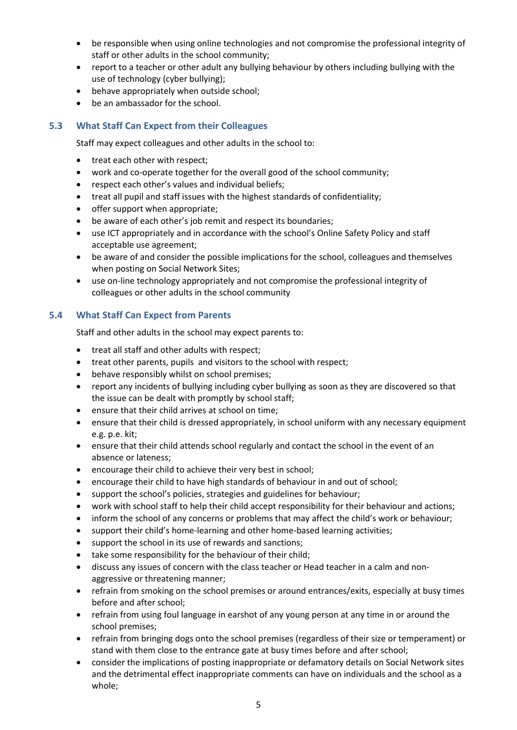- be responsible when using online technologies and not compromise the professional integrity of staff or other adults in the school community;
- report to a teacher or other adult any bullying behaviour by others including bullying with the use of technology (cyber bullying);
- behave appropriately when outside school;
- be an ambassador for the school.

#### <span id="page-8-0"></span>**5.3 What Staff Can Expect from their Colleagues**

Staff may expect colleagues and other adults in the school to:

- treat each other with respect:
- work and co-operate together for the overall good of the school community;
- respect each other's values and individual beliefs;
- treat all pupil and staff issues with the highest standards of confidentiality;
- offer support when appropriate;
- be aware of each other's job remit and respect its boundaries;
- use ICT appropriately and in accordance with the school's Online Safety Policy and staff acceptable use agreement;
- be aware of and consider the possible implications for the school, colleagues and themselves when posting on Social Network Sites;
- use on-line technology appropriately and not compromise the professional integrity of colleagues or other adults in the school community

#### <span id="page-8-1"></span>**5.4 What Staff Can Expect from Parents**

Staff and other adults in the school may expect parents to:

- treat all staff and other adults with respect;
- treat other parents, pupils and visitors to the school with respect;
- behave responsibly whilst on school premises;
- report any incidents of bullying including cyber bullying as soon as they are discovered so that the issue can be dealt with promptly by school staff;
- ensure that their child arrives at school on time;
- ensure that their child is dressed appropriately, in school uniform with any necessary equipment e.g. p.e. kit;
- ensure that their child attends school regularly and contact the school in the event of an absence or lateness;
- encourage their child to achieve their very best in school;
- encourage their child to have high standards of behaviour in and out of school;
- support the school's policies, strategies and guidelines for behaviour;
- work with school staff to help their child accept responsibility for their behaviour and actions;
- inform the school of any concerns or problems that may affect the child's work or behaviour;
- support their child's home-learning and other home-based learning activities;
- support the school in its use of rewards and sanctions;
- take some responsibility for the behaviour of their child;
- discuss any issues of concern with the class teacher or Head teacher in a calm and nonaggressive or threatening manner;
- refrain from smoking on the school premises or around entrances/exits, especially at busy times before and after school;
- refrain from using foul language in earshot of any young person at any time in or around the school premises;
- refrain from bringing dogs onto the school premises (regardless of their size or temperament) or stand with them close to the entrance gate at busy times before and after school;
- consider the implications of posting inappropriate or defamatory details on Social Network sites and the detrimental effect inappropriate comments can have on individuals and the school as a whole;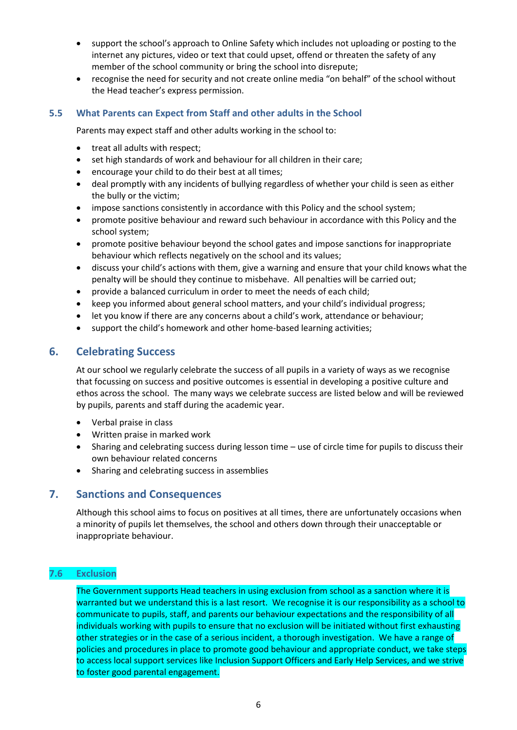- support the school's approach to Online Safety which includes not uploading or posting to the internet any pictures, video or text that could upset, offend or threaten the safety of any member of the school community or bring the school into disrepute;
- recognise the need for security and not create online media "on behalf" of the school without the Head teacher's express permission.

#### <span id="page-9-0"></span>**5.5 What Parents can Expect from Staff and other adults in the School**

Parents may expect staff and other adults working in the school to:

- treat all adults with respect;
- set high standards of work and behaviour for all children in their care;
- encourage your child to do their best at all times;
- deal promptly with any incidents of bullying regardless of whether your child is seen as either the bully or the victim;
- impose sanctions consistently in accordance with this Policy and the school system;
- promote positive behaviour and reward such behaviour in accordance with this Policy and the school system;
- promote positive behaviour beyond the school gates and impose sanctions for inappropriate behaviour which reflects negatively on the school and its values;
- discuss your child's actions with them, give a warning and ensure that your child knows what the penalty will be should they continue to misbehave. All penalties will be carried out;
- provide a balanced curriculum in order to meet the needs of each child;
- keep you informed about general school matters, and your child's individual progress;
- let you know if there are any concerns about a child's work, attendance or behaviour;
- support the child's homework and other home-based learning activities;

#### <span id="page-9-1"></span>**6. Celebrating Success**

At our school we regularly celebrate the success of all pupils in a variety of ways as we recognise that focussing on success and positive outcomes is essential in developing a positive culture and ethos across the school. The many ways we celebrate success are listed below and will be reviewed by pupils, parents and staff during the academic year.

- Verbal praise in class
- Written praise in marked work
- Sharing and celebrating success during lesson time use of circle time for pupils to discuss their own behaviour related concerns
- Sharing and celebrating success in assemblies

#### <span id="page-9-2"></span>**7. Sanctions and Consequences**

Although this school aims to focus on positives at all times, there are unfortunately occasions when a minority of pupils let themselves, the school and others down through their unacceptable or inappropriate behaviour.

#### **7.6 Exclusion**

The Government supports Head teachers in using exclusion from school as a sanction where it is warranted but we understand this is a last resort. We recognise it is our responsibility as a school to communicate to pupils, staff, and parents our behaviour expectations and the responsibility of all individuals working with pupils to ensure that no exclusion will be initiated without first exhausting other strategies or in the case of a serious incident, a thorough investigation. We have a range of policies and procedures in place to promote good behaviour and appropriate conduct, we take steps to access local support services like Inclusion Support Officers and Early Help Services, and we strive to foster good parental engagement.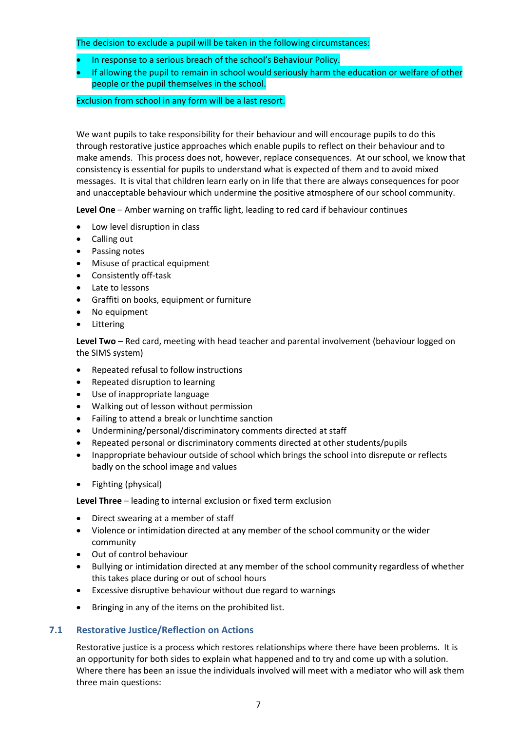#### The decision to exclude a pupil will be taken in the following circumstances:

- In response to a serious breach of the school's Behaviour Policy.
- If allowing the pupil to remain in school would seriously harm the education or welfare of other people or the pupil themselves in the school.

#### Exclusion from school in any form will be a last resort.

We want pupils to take responsibility for their behaviour and will encourage pupils to do this through restorative justice approaches which enable pupils to reflect on their behaviour and to make amends. This process does not, however, replace consequences. At our school, we know that consistency is essential for pupils to understand what is expected of them and to avoid mixed messages. It is vital that children learn early on in life that there are always consequences for poor and unacceptable behaviour which undermine the positive atmosphere of our school community.

**Level One** – Amber warning on traffic light, leading to red card if behaviour continues

- Low level disruption in class
- Calling out
- Passing notes
- Misuse of practical equipment
- Consistently off-task
- Late to lessons
- Graffiti on books, equipment or furniture
- No equipment
- Littering

**Level Two** – Red card, meeting with head teacher and parental involvement (behaviour logged on the SIMS system)

- Repeated refusal to follow instructions
- Repeated disruption to learning
- Use of inappropriate language
- Walking out of lesson without permission
- Failing to attend a break or lunchtime sanction
- Undermining/personal/discriminatory comments directed at staff
- Repeated personal or discriminatory comments directed at other students/pupils
- Inappropriate behaviour outside of school which brings the school into disrepute or reflects badly on the school image and values
- Fighting (physical)

**Level Three** – leading to internal exclusion or fixed term exclusion

- Direct swearing at a member of staff
- Violence or intimidation directed at any member of the school community or the wider community
- Out of control behaviour
- Bullying or intimidation directed at any member of the school community regardless of whether this takes place during or out of school hours
- Excessive disruptive behaviour without due regard to warnings
- Bringing in any of the items on the prohibited list.

#### <span id="page-10-0"></span>**7.1 Restorative Justice/Reflection on Actions**

Restorative justice is a process which restores relationships where there have been problems. It is an opportunity for both sides to explain what happened and to try and come up with a solution. Where there has been an issue the individuals involved will meet with a mediator who will ask them three main questions: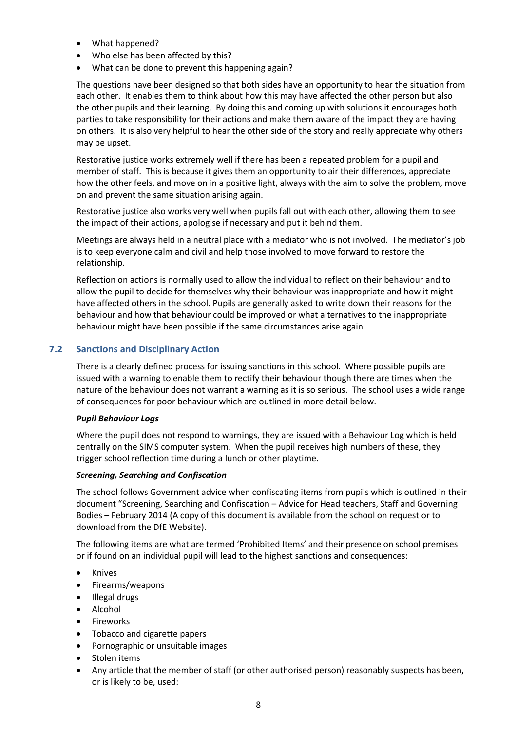- What happened?
- Who else has been affected by this?
- What can be done to prevent this happening again?

The questions have been designed so that both sides have an opportunity to hear the situation from each other. It enables them to think about how this may have affected the other person but also the other pupils and their learning. By doing this and coming up with solutions it encourages both parties to take responsibility for their actions and make them aware of the impact they are having on others. It is also very helpful to hear the other side of the story and really appreciate why others may be upset.

Restorative justice works extremely well if there has been a repeated problem for a pupil and member of staff. This is because it gives them an opportunity to air their differences, appreciate how the other feels, and move on in a positive light, always with the aim to solve the problem, move on and prevent the same situation arising again.

Restorative justice also works very well when pupils fall out with each other, allowing them to see the impact of their actions, apologise if necessary and put it behind them.

Meetings are always held in a neutral place with a mediator who is not involved. The mediator's job is to keep everyone calm and civil and help those involved to move forward to restore the relationship.

Reflection on actions is normally used to allow the individual to reflect on their behaviour and to allow the pupil to decide for themselves why their behaviour was inappropriate and how it might have affected others in the school. Pupils are generally asked to write down their reasons for the behaviour and how that behaviour could be improved or what alternatives to the inappropriate behaviour might have been possible if the same circumstances arise again.

#### <span id="page-11-0"></span>**7.2 Sanctions and Disciplinary Action**

There is a clearly defined process for issuing sanctions in this school. Where possible pupils are issued with a warning to enable them to rectify their behaviour though there are times when the nature of the behaviour does not warrant a warning as it is so serious. The school uses a wide range of consequences for poor behaviour which are outlined in more detail below.

#### <span id="page-11-1"></span>*Pupil Behaviour Logs*

Where the pupil does not respond to warnings, they are issued with a Behaviour Log which is held centrally on the SIMS computer system. When the pupil receives high numbers of these, they trigger school reflection time during a lunch or other playtime.

#### <span id="page-11-2"></span>*Screening, Searching and Confiscation*

The school follows Government advice when confiscating items from pupils which is outlined in their document "Screening, Searching and Confiscation – Advice for Head teachers, Staff and Governing Bodies – February 2014 (A copy of this document is available from the school on request or to download from the DfE Website).

The following items are what are termed 'Prohibited Items' and their presence on school premises or if found on an individual pupil will lead to the highest sanctions and consequences:

- Knives
- Firearms/weapons
- Illegal drugs
- Alcohol
- **Fireworks**
- Tobacco and cigarette papers
- Pornographic or unsuitable images
- Stolen items
- Any article that the member of staff (or other authorised person) reasonably suspects has been, or is likely to be, used: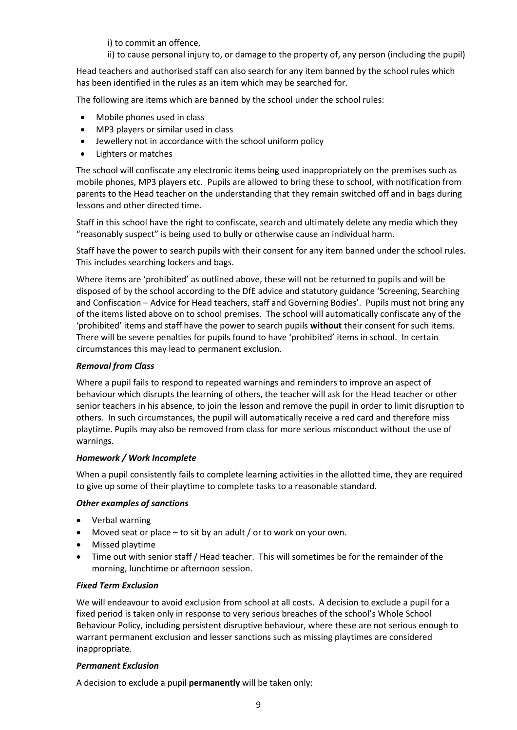i) to commit an offence,

ii) to cause personal injury to, or damage to the property of, any person (including the pupil)

Head teachers and authorised staff can also search for any item banned by the school rules which has been identified in the rules as an item which may be searched for.

The following are items which are banned by the school under the school rules:

- Mobile phones used in class
- MP3 players or similar used in class
- Jewellery not in accordance with the school uniform policy
- Lighters or matches

The school will confiscate any electronic items being used inappropriately on the premises such as mobile phones, MP3 players etc. Pupils are allowed to bring these to school, with notification from parents to the Head teacher on the understanding that they remain switched off and in bags during lessons and other directed time.

Staff in this school have the right to confiscate, search and ultimately delete any media which they "reasonably suspect" is being used to bully or otherwise cause an individual harm.

Staff have the power to search pupils with their consent for any item banned under the school rules. This includes searching lockers and bags.

Where items are 'prohibited' as outlined above, these will not be returned to pupils and will be disposed of by the school according to the DfE advice and statutory guidance 'Screening, Searching and Confiscation – Advice for Head teachers, staff and Governing Bodies'. Pupils must not bring any of the items listed above on to school premises. The school will automatically confiscate any of the 'prohibited' items and staff have the power to search pupils **without** their consent for such items. There will be severe penalties for pupils found to have 'prohibited' items in school. In certain circumstances this may lead to permanent exclusion.

#### <span id="page-12-0"></span>*Removal from Class*

Where a pupil fails to respond to repeated warnings and reminders to improve an aspect of behaviour which disrupts the learning of others, the teacher will ask for the Head teacher or other senior teachers in his absence, to join the lesson and remove the pupil in order to limit disruption to others. In such circumstances, the pupil will automatically receive a red card and therefore miss playtime. Pupils may also be removed from class for more serious misconduct without the use of warnings.

#### <span id="page-12-1"></span>*Homework / Work Incomplete*

When a pupil consistently fails to complete learning activities in the allotted time, they are required to give up some of their playtime to complete tasks to a reasonable standard.

#### <span id="page-12-2"></span>*Other examples of sanctions*

- Verbal warning
- Moved seat or place to sit by an adult / or to work on your own.
- Missed playtime
- Time out with senior staff / Head teacher. This will sometimes be for the remainder of the morning, lunchtime or afternoon session.

#### <span id="page-12-3"></span>*Fixed Term Exclusion*

We will endeavour to avoid exclusion from school at all costs. A decision to exclude a pupil for a fixed period is taken only in response to very serious breaches of the school's Whole School Behaviour Policy, including persistent disruptive behaviour, where these are not serious enough to warrant permanent exclusion and lesser sanctions such as missing playtimes are considered inappropriate.

#### <span id="page-12-4"></span>*Permanent Exclusion*

A decision to exclude a pupil **permanently** will be taken only: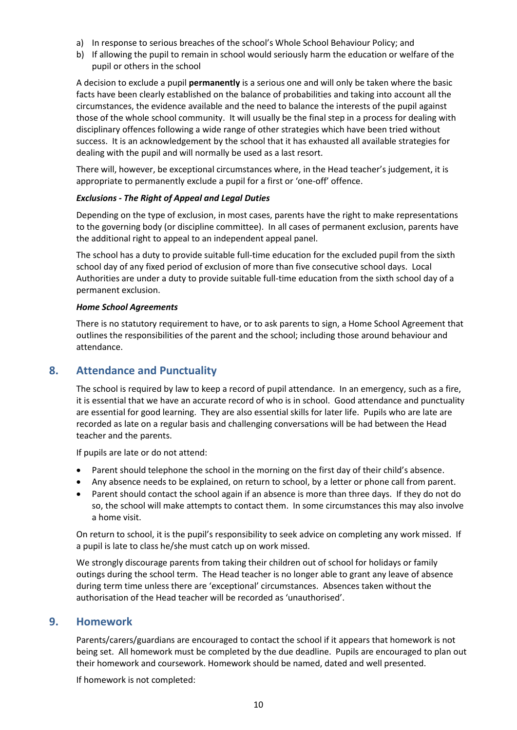- a) In response to serious breaches of the school's Whole School Behaviour Policy; and
- b) If allowing the pupil to remain in school would seriously harm the education or welfare of the pupil or others in the school

A decision to exclude a pupil **permanently** is a serious one and will only be taken where the basic facts have been clearly established on the balance of probabilities and taking into account all the circumstances, the evidence available and the need to balance the interests of the pupil against those of the whole school community. It will usually be the final step in a process for dealing with disciplinary offences following a wide range of other strategies which have been tried without success. It is an acknowledgement by the school that it has exhausted all available strategies for dealing with the pupil and will normally be used as a last resort.

There will, however, be exceptional circumstances where, in the Head teacher's judgement, it is appropriate to permanently exclude a pupil for a first or 'one-off' offence.

#### <span id="page-13-0"></span>*Exclusions - The Right of Appeal and Legal Duties*

Depending on the type of exclusion, in most cases, parents have the right to make representations to the governing body (or discipline committee). In all cases of permanent exclusion, parents have the additional right to appeal to an independent appeal panel.

The school has a duty to provide suitable full-time education for the excluded pupil from the sixth school day of any fixed period of exclusion of more than five consecutive school days. Local Authorities are under a duty to provide suitable full-time education from the sixth school day of a permanent exclusion.

#### <span id="page-13-1"></span>*Home School Agreements*

There is no statutory requirement to have, or to ask parents to sign, a Home School Agreement that outlines the responsibilities of the parent and the school; including those around behaviour and attendance.

## <span id="page-13-2"></span>**8. Attendance and Punctuality**

The school is required by law to keep a record of pupil attendance. In an emergency, such as a fire, it is essential that we have an accurate record of who is in school. Good attendance and punctuality are essential for good learning. They are also essential skills for later life. Pupils who are late are recorded as late on a regular basis and challenging conversations will be had between the Head teacher and the parents.

If pupils are late or do not attend:

- Parent should telephone the school in the morning on the first day of their child's absence.
- Any absence needs to be explained, on return to school, by a letter or phone call from parent.
- Parent should contact the school again if an absence is more than three days. If they do not do so, the school will make attempts to contact them. In some circumstances this may also involve a home visit.

On return to school, it is the pupil's responsibility to seek advice on completing any work missed. If a pupil is late to class he/she must catch up on work missed.

We strongly discourage parents from taking their children out of school for holidays or family outings during the school term. The Head teacher is no longer able to grant any leave of absence during term time unless there are 'exceptional' circumstances. Absences taken without the authorisation of the Head teacher will be recorded as 'unauthorised'.

#### <span id="page-13-3"></span>**9. Homework**

Parents/carers/guardians are encouraged to contact the school if it appears that homework is not being set. All homework must be completed by the due deadline. Pupils are encouraged to plan out their homework and coursework. Homework should be named, dated and well presented.

If homework is not completed: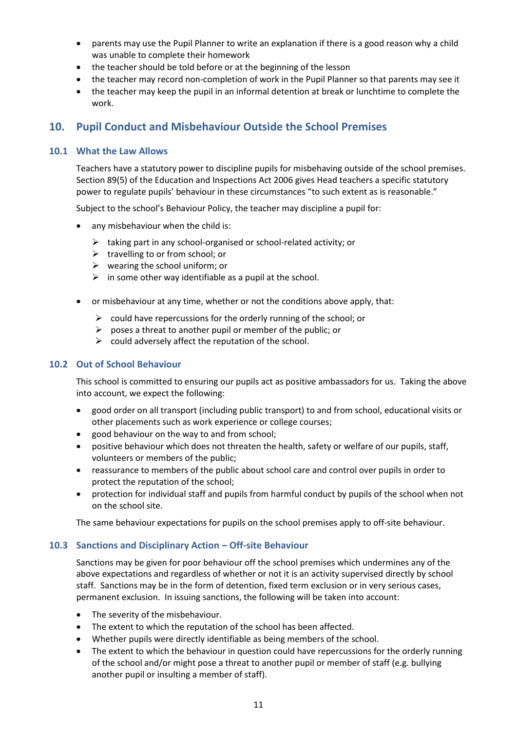- parents may use the Pupil Planner to write an explanation if there is a good reason why a child was unable to complete their homework
- the teacher should be told before or at the beginning of the lesson
- the teacher may record non-completion of work in the Pupil Planner so that parents may see it
- the teacher may keep the pupil in an informal detention at break or lunchtime to complete the work.

## <span id="page-14-0"></span>**10. Pupil Conduct and Misbehaviour Outside the School Premises**

#### <span id="page-14-1"></span>**10.1 What the Law Allows**

Teachers have a statutory power to discipline pupils for misbehaving outside of the school premises. Section 89(5) of the Education and Inspections Act 2006 gives Head teachers a specific statutory power to regulate pupils' behaviour in these circumstances "to such extent as is reasonable."

Subject to the school's Behaviour Policy, the teacher may discipline a pupil for:

- any misbehaviour when the child is:
	- $\triangleright$  taking part in any school-organised or school-related activity; or
	- ➢ travelling to or from school; or
	- $\triangleright$  wearing the school uniform; or
	- $\triangleright$  in some other way identifiable as a pupil at the school.
- or misbehaviour at any time, whether or not the conditions above apply, that:
	- $\triangleright$  could have repercussions for the orderly running of the school: or
	- $\triangleright$  poses a threat to another pupil or member of the public; or
	- $\triangleright$  could adversely affect the reputation of the school.

#### <span id="page-14-2"></span>**10.2 Out of School Behaviour**

This school is committed to ensuring our pupils act as positive ambassadors for us. Taking the above into account, we expect the following:

- good order on all transport (including public transport) to and from school, educational visits or other placements such as work experience or college courses;
- good behaviour on the way to and from school;
- positive behaviour which does not threaten the health, safety or welfare of our pupils, staff, volunteers or members of the public;
- reassurance to members of the public about school care and control over pupils in order to protect the reputation of the school;
- protection for individual staff and pupils from harmful conduct by pupils of the school when not on the school site.

The same behaviour expectations for pupils on the school premises apply to off-site behaviour.

#### <span id="page-14-3"></span>**10.3 Sanctions and Disciplinary Action – Off-site Behaviour**

Sanctions may be given for poor behaviour off the school premises which undermines any of the above expectations and regardless of whether or not it is an activity supervised directly by school staff. Sanctions may be in the form of detention, fixed term exclusion or in very serious cases, permanent exclusion. In issuing sanctions, the following will be taken into account:

- The severity of the misbehaviour.
- The extent to which the reputation of the school has been affected.
- Whether pupils were directly identifiable as being members of the school.
- The extent to which the behaviour in question could have repercussions for the orderly running of the school and/or might pose a threat to another pupil or member of staff (e.g. bullying another pupil or insulting a member of staff).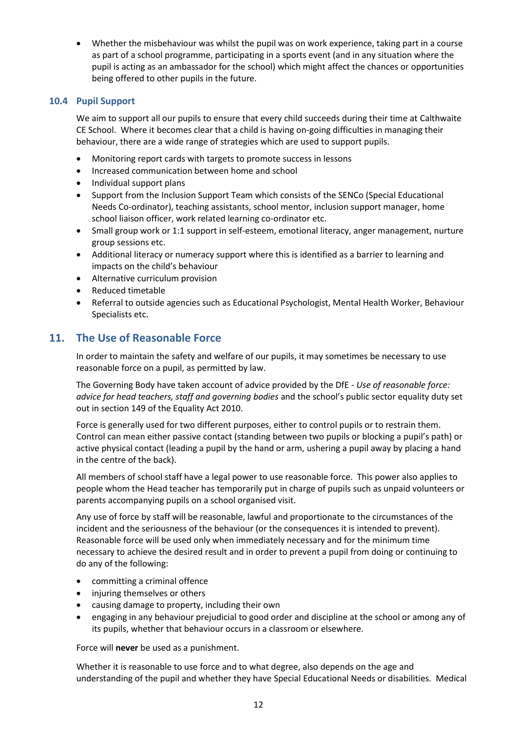• Whether the misbehaviour was whilst the pupil was on work experience, taking part in a course as part of a school programme, participating in a sports event (and in any situation where the pupil is acting as an ambassador for the school) which might affect the chances or opportunities being offered to other pupils in the future.

#### <span id="page-15-0"></span>**10.4 Pupil Support**

We aim to support all our pupils to ensure that every child succeeds during their time at Calthwaite CE School. Where it becomes clear that a child is having on-going difficulties in managing their behaviour, there are a wide range of strategies which are used to support pupils.

- Monitoring report cards with targets to promote success in lessons
- Increased communication between home and school
- Individual support plans
- Support from the Inclusion Support Team which consists of the SENCo (Special Educational Needs Co-ordinator), teaching assistants, school mentor, inclusion support manager, home school liaison officer, work related learning co-ordinator etc.
- Small group work or 1:1 support in self-esteem, emotional literacy, anger management, nurture group sessions etc.
- Additional literacy or numeracy support where this is identified as a barrier to learning and impacts on the child's behaviour
- Alternative curriculum provision
- Reduced timetable
- Referral to outside agencies such as Educational Psychologist, Mental Health Worker, Behaviour Specialists etc.

## <span id="page-15-1"></span>**11. The Use of Reasonable Force**

In order to maintain the safety and welfare of our pupils, it may sometimes be necessary to use reasonable force on a pupil, as permitted by law.

The Governing Body have taken account of advice provided by the DfE - *Use of reasonable force: advice for head teachers, staff and governing bodies* and the school's public sector equality duty set out in section 149 of the Equality Act 2010.

Force is generally used for two different purposes, either to control pupils or to restrain them. Control can mean either passive contact (standing between two pupils or blocking a pupil's path) or active physical contact (leading a pupil by the hand or arm, ushering a pupil away by placing a hand in the centre of the back).

All members of school staff have a legal power to use reasonable force. This power also applies to people whom the Head teacher has temporarily put in charge of pupils such as unpaid volunteers or parents accompanying pupils on a school organised visit.

Any use of force by staff will be reasonable, lawful and proportionate to the circumstances of the incident and the seriousness of the behaviour (or the consequences it is intended to prevent). Reasonable force will be used only when immediately necessary and for the minimum time necessary to achieve the desired result and in order to prevent a pupil from doing or continuing to do any of the following:

- committing a criminal offence
- injuring themselves or others
- causing damage to property, including their own
- engaging in any behaviour prejudicial to good order and discipline at the school or among any of its pupils, whether that behaviour occurs in a classroom or elsewhere.

Force will **never** be used as a punishment.

Whether it is reasonable to use force and to what degree, also depends on the age and understanding of the pupil and whether they have Special Educational Needs or disabilities. Medical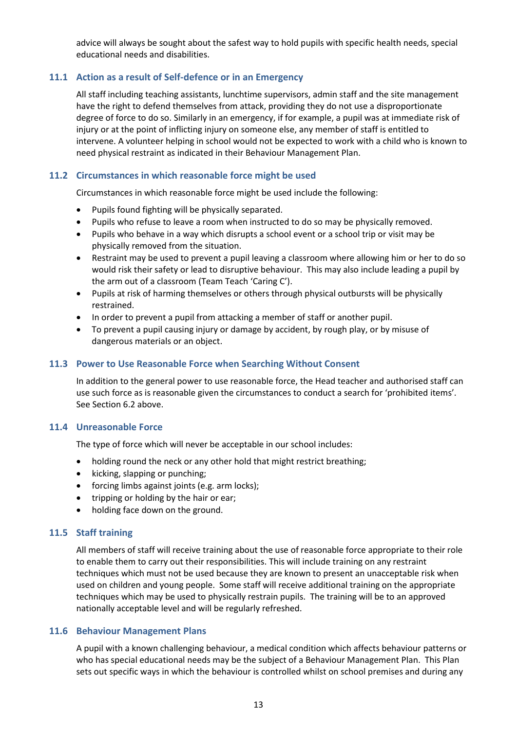advice will always be sought about the safest way to hold pupils with specific health needs, special educational needs and disabilities.

#### <span id="page-16-0"></span>**11.1 Action as a result of Self-defence or in an Emergency**

All staff including teaching assistants, lunchtime supervisors, admin staff and the site management have the right to defend themselves from attack, providing they do not use a disproportionate degree of force to do so. Similarly in an emergency, if for example, a pupil was at immediate risk of injury or at the point of inflicting injury on someone else, any member of staff is entitled to intervene. A volunteer helping in school would not be expected to work with a child who is known to need physical restraint as indicated in their Behaviour Management Plan.

#### <span id="page-16-1"></span>**11.2 Circumstances in which reasonable force might be used**

Circumstances in which reasonable force might be used include the following:

- Pupils found fighting will be physically separated.
- Pupils who refuse to leave a room when instructed to do so may be physically removed.
- Pupils who behave in a way which disrupts a school event or a school trip or visit may be physically removed from the situation.
- Restraint may be used to prevent a pupil leaving a classroom where allowing him or her to do so would risk their safety or lead to disruptive behaviour. This may also include leading a pupil by the arm out of a classroom (Team Teach 'Caring C').
- Pupils at risk of harming themselves or others through physical outbursts will be physically restrained.
- In order to prevent a pupil from attacking a member of staff or another pupil.
- To prevent a pupil causing injury or damage by accident, by rough play, or by misuse of dangerous materials or an object.

#### <span id="page-16-2"></span>**11.3 Power to Use Reasonable Force when Searching Without Consent**

In addition to the general power to use reasonable force, the Head teacher and authorised staff can use such force as is reasonable given the circumstances to conduct a search for 'prohibited items'. See Section 6.2 above.

#### <span id="page-16-3"></span>**11.4 Unreasonable Force**

The type of force which will never be acceptable in our school includes:

- holding round the neck or any other hold that might restrict breathing;
- kicking, slapping or punching;
- forcing limbs against joints (e.g. arm locks);
- tripping or holding by the hair or ear;
- holding face down on the ground.

#### <span id="page-16-4"></span>**11.5 Staff training**

All members of staff will receive training about the use of reasonable force appropriate to their role to enable them to carry out their responsibilities. This will include training on any restraint techniques which must not be used because they are known to present an unacceptable risk when used on children and young people. Some staff will receive additional training on the appropriate techniques which may be used to physically restrain pupils. The training will be to an approved nationally acceptable level and will be regularly refreshed.

#### <span id="page-16-5"></span>**11.6 Behaviour Management Plans**

A pupil with a known challenging behaviour, a medical condition which affects behaviour patterns or who has special educational needs may be the subject of a Behaviour Management Plan. This Plan sets out specific ways in which the behaviour is controlled whilst on school premises and during any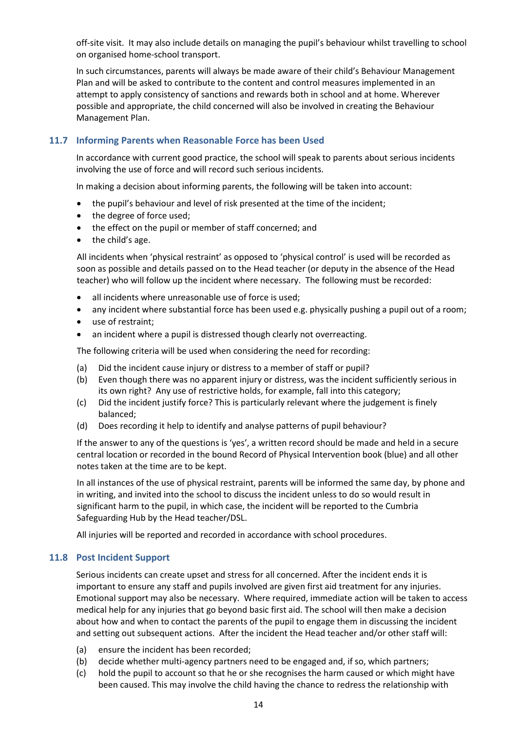off-site visit. It may also include details on managing the pupil's behaviour whilst travelling to school on organised home-school transport.

In such circumstances, parents will always be made aware of their child's Behaviour Management Plan and will be asked to contribute to the content and control measures implemented in an attempt to apply consistency of sanctions and rewards both in school and at home. Wherever possible and appropriate, the child concerned will also be involved in creating the Behaviour Management Plan.

#### <span id="page-17-0"></span>**11.7 Informing Parents when Reasonable Force has been Used**

In accordance with current good practice, the school will speak to parents about serious incidents involving the use of force and will record such serious incidents.

In making a decision about informing parents, the following will be taken into account:

- the pupil's behaviour and level of risk presented at the time of the incident;
- the degree of force used;
- the effect on the pupil or member of staff concerned; and
- the child's age.

All incidents when 'physical restraint' as opposed to 'physical control' is used will be recorded as soon as possible and details passed on to the Head teacher (or deputy in the absence of the Head teacher) who will follow up the incident where necessary. The following must be recorded:

- all incidents where unreasonable use of force is used;
- any incident where substantial force has been used e.g. physically pushing a pupil out of a room;
- use of restraint;
- an incident where a pupil is distressed though clearly not overreacting.

The following criteria will be used when considering the need for recording:

- (a) Did the incident cause injury or distress to a member of staff or pupil?
- (b) Even though there was no apparent injury or distress, was the incident sufficiently serious in its own right? Any use of restrictive holds, for example, fall into this category;
- (c) Did the incident justify force? This is particularly relevant where the judgement is finely balanced;
- (d) Does recording it help to identify and analyse patterns of pupil behaviour?

If the answer to any of the questions is 'yes', a written record should be made and held in a secure central location or recorded in the bound Record of Physical Intervention book (blue) and all other notes taken at the time are to be kept.

In all instances of the use of physical restraint, parents will be informed the same day, by phone and in writing, and invited into the school to discuss the incident unless to do so would result in significant harm to the pupil, in which case, the incident will be reported to the Cumbria Safeguarding Hub by the Head teacher/DSL.

All injuries will be reported and recorded in accordance with school procedures.

#### <span id="page-17-1"></span>**11.8 Post Incident Support**

Serious incidents can create upset and stress for all concerned. After the incident ends it is important to ensure any staff and pupils involved are given first aid treatment for any injuries. Emotional support may also be necessary. Where required, immediate action will be taken to access medical help for any injuries that go beyond basic first aid. The school will then make a decision about how and when to contact the parents of the pupil to engage them in discussing the incident and setting out subsequent actions. After the incident the Head teacher and/or other staff will:

- (a) ensure the incident has been recorded;
- (b) decide whether multi-agency partners need to be engaged and, if so, which partners;
- (c) hold the pupil to account so that he or she recognises the harm caused or which might have been caused. This may involve the child having the chance to redress the relationship with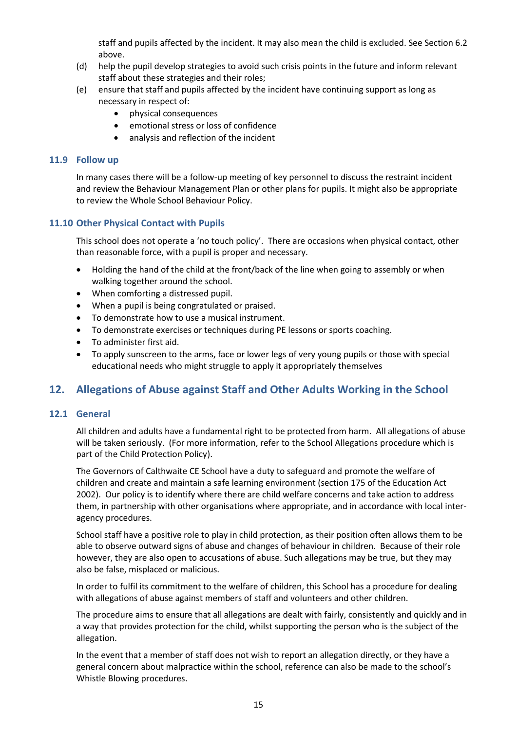staff and pupils affected by the incident. It may also mean the child is excluded. See Section 6.2 above.

- (d) help the pupil develop strategies to avoid such crisis points in the future and inform relevant staff about these strategies and their roles;
- (e) ensure that staff and pupils affected by the incident have continuing support as long as necessary in respect of:
	- physical consequences
	- emotional stress or loss of confidence
	- analysis and reflection of the incident

#### <span id="page-18-0"></span>**11.9 Follow up**

In many cases there will be a follow-up meeting of key personnel to discuss the restraint incident and review the Behaviour Management Plan or other plans for pupils. It might also be appropriate to review the Whole School Behaviour Policy.

#### <span id="page-18-1"></span>**11.10 Other Physical Contact with Pupils**

This school does not operate a 'no touch policy'. There are occasions when physical contact, other than reasonable force, with a pupil is proper and necessary.

- Holding the hand of the child at the front/back of the line when going to assembly or when walking together around the school.
- When comforting a distressed pupil.
- When a pupil is being congratulated or praised.
- To demonstrate how to use a musical instrument.
- To demonstrate exercises or techniques during PE lessons or sports coaching.
- To administer first aid.
- To apply sunscreen to the arms, face or lower legs of very young pupils or those with special educational needs who might struggle to apply it appropriately themselves

## <span id="page-18-2"></span>**12. Allegations of Abuse against Staff and Other Adults Working in the School**

#### <span id="page-18-3"></span>**12.1 General**

All children and adults have a fundamental right to be protected from harm. All allegations of abuse will be taken seriously. (For more information, refer to the School Allegations procedure which is part of the Child Protection Policy).

The Governors of Calthwaite CE School have a duty to safeguard and promote the welfare of children and create and maintain a safe learning environment (section 175 of the Education Act 2002). Our policy is to identify where there are child welfare concerns and take action to address them, in partnership with other organisations where appropriate, and in accordance with local interagency procedures.

School staff have a positive role to play in child protection, as their position often allows them to be able to observe outward signs of abuse and changes of behaviour in children. Because of their role however, they are also open to accusations of abuse. Such allegations may be true, but they may also be false, misplaced or malicious.

In order to fulfil its commitment to the welfare of children, this School has a procedure for dealing with allegations of abuse against members of staff and volunteers and other children.

The procedure aims to ensure that all allegations are dealt with fairly, consistently and quickly and in a way that provides protection for the child, whilst supporting the person who is the subject of the allegation.

In the event that a member of staff does not wish to report an allegation directly, or they have a general concern about malpractice within the school, reference can also be made to the school's Whistle Blowing procedures.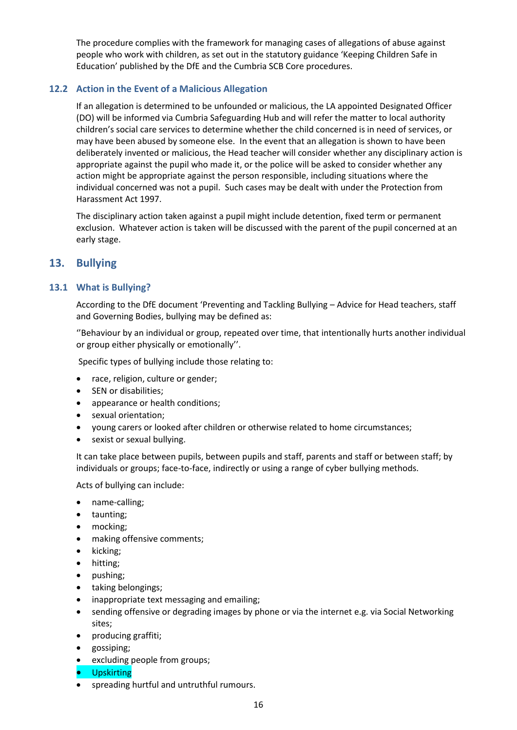The procedure complies with the framework for managing cases of allegations of abuse against people who work with children, as set out in the statutory guidance 'Keeping Children Safe in Education' published by the DfE and the Cumbria SCB Core procedures.

#### <span id="page-19-0"></span>**12.2 Action in the Event of a Malicious Allegation**

If an allegation is determined to be unfounded or malicious, the LA appointed Designated Officer (DO) will be informed via Cumbria Safeguarding Hub and will refer the matter to local authority children's social care services to determine whether the child concerned is in need of services, or may have been abused by someone else. In the event that an allegation is shown to have been deliberately invented or malicious, the Head teacher will consider whether any disciplinary action is appropriate against the pupil who made it, or the police will be asked to consider whether any action might be appropriate against the person responsible, including situations where the individual concerned was not a pupil. Such cases may be dealt with under the Protection from Harassment Act 1997.

The disciplinary action taken against a pupil might include detention, fixed term or permanent exclusion. Whatever action is taken will be discussed with the parent of the pupil concerned at an early stage.

### <span id="page-19-1"></span>**13. Bullying**

#### <span id="page-19-2"></span>**13.1 What is Bullying?**

According to the DfE document 'Preventing and Tackling Bullying – Advice for Head teachers, staff and Governing Bodies, bullying may be defined as:

''Behaviour by an individual or group, repeated over time, that intentionally hurts another individual or group either physically or emotionally''.

Specific types of bullying include those relating to:

- race, religion, culture or gender;
- SEN or disabilities;
- appearance or health conditions;
- sexual orientation;
- young carers or looked after children or otherwise related to home circumstances;
- sexist or sexual bullying.

It can take place between pupils, between pupils and staff, parents and staff or between staff; by individuals or groups; face-to-face, indirectly or using a range of cyber bullying methods.

Acts of bullying can include:

- name-calling;
- taunting;
- mocking;
- making offensive comments;
- kicking;
- hitting;
- pushing;
- taking belongings;
- inappropriate text messaging and emailing;
- sending offensive or degrading images by phone or via the internet e.g. via Social Networking sites;
- producing graffiti;
- gossiping;
- excluding people from groups;
- Upskirting
- spreading hurtful and untruthful rumours.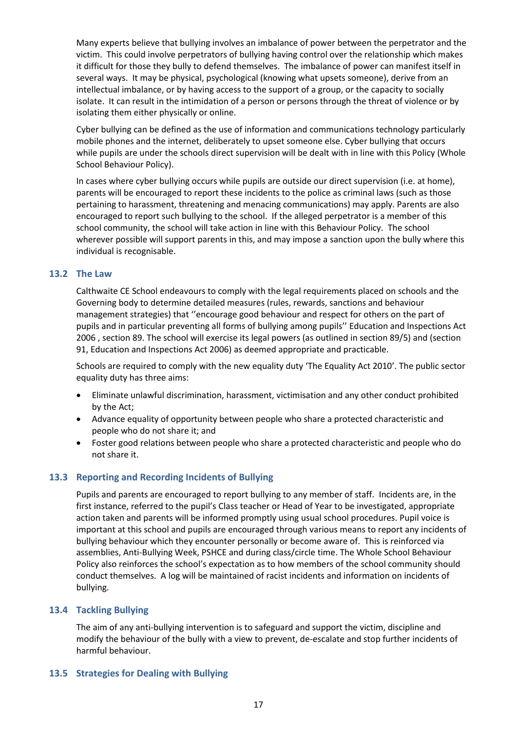Many experts believe that bullying involves an imbalance of power between the perpetrator and the victim. This could involve perpetrators of bullying having control over the relationship which makes it difficult for those they bully to defend themselves. The imbalance of power can manifest itself in several ways. It may be physical, psychological (knowing what upsets someone), derive from an intellectual imbalance, or by having access to the support of a group, or the capacity to socially isolate. It can result in the intimidation of a person or persons through the threat of violence or by isolating them either physically or online.

Cyber bullying can be defined as the use of information and communications technology particularly mobile phones and the internet, deliberately to upset someone else. Cyber bullying that occurs while pupils are under the schools direct supervision will be dealt with in line with this Policy (Whole School Behaviour Policy).

In cases where cyber bullying occurs while pupils are outside our direct supervision (i.e. at home), parents will be encouraged to report these incidents to the police as criminal laws (such as those pertaining to harassment, threatening and menacing communications) may apply. Parents are also encouraged to report such bullying to the school. If the alleged perpetrator is a member of this school community, the school will take action in line with this Behaviour Policy. The school wherever possible will support parents in this, and may impose a sanction upon the bully where this individual is recognisable.

#### <span id="page-20-0"></span>**13.2 The Law**

Calthwaite CE School endeavours to comply with the legal requirements placed on schools and the Governing body to determine detailed measures (rules, rewards, sanctions and behaviour management strategies) that ''encourage good behaviour and respect for others on the part of pupils and in particular preventing all forms of bullying among pupils'' Education and Inspections Act 2006 , section 89. The school will exercise its legal powers (as outlined in section 89/5) and (section 91, Education and Inspections Act 2006) as deemed appropriate and practicable.

Schools are required to comply with the new equality duty 'The Equality Act 2010'. The public sector equality duty has three aims:

- Eliminate unlawful discrimination, harassment, victimisation and any other conduct prohibited by the Act;
- Advance equality of opportunity between people who share a protected characteristic and people who do not share it; and
- Foster good relations between people who share a protected characteristic and people who do not share it.

#### <span id="page-20-1"></span>**13.3 Reporting and Recording Incidents of Bullying**

Pupils and parents are encouraged to report bullying to any member of staff. Incidents are, in the first instance, referred to the pupil's Class teacher or Head of Year to be investigated, appropriate action taken and parents will be informed promptly using usual school procedures. Pupil voice is important at this school and pupils are encouraged through various means to report any incidents of bullying behaviour which they encounter personally or become aware of. This is reinforced via assemblies, Anti-Bullying Week, PSHCE and during class/circle time. The Whole School Behaviour Policy also reinforces the school's expectation as to how members of the school community should conduct themselves. A log will be maintained of racist incidents and information on incidents of bullying.

#### <span id="page-20-2"></span>**13.4 Tackling Bullying**

The aim of any anti-bullying intervention is to safeguard and support the victim, discipline and modify the behaviour of the bully with a view to prevent, de-escalate and stop further incidents of harmful behaviour.

#### <span id="page-20-3"></span>**13.5 Strategies for Dealing with Bullying**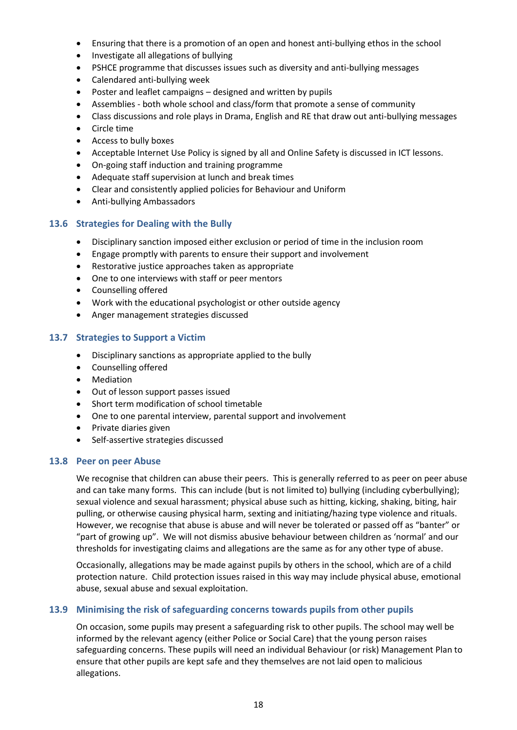- Ensuring that there is a promotion of an open and honest anti-bullying ethos in the school
- Investigate all allegations of bullying
- PSHCE programme that discusses issues such as diversity and anti-bullying messages
- Calendared anti-bullying week
- Poster and leaflet campaigns designed and written by pupils
- Assemblies both whole school and class/form that promote a sense of community
- Class discussions and role plays in Drama, English and RE that draw out anti-bullying messages
- Circle time
- Access to bully boxes
- Acceptable Internet Use Policy is signed by all and Online Safety is discussed in ICT lessons.
- On-going staff induction and training programme
- Adequate staff supervision at lunch and break times
- Clear and consistently applied policies for Behaviour and Uniform
- Anti-bullying Ambassadors

#### <span id="page-21-0"></span>**13.6 Strategies for Dealing with the Bully**

- Disciplinary sanction imposed either exclusion or period of time in the inclusion room
- Engage promptly with parents to ensure their support and involvement
- Restorative justice approaches taken as appropriate
- One to one interviews with staff or peer mentors
- Counselling offered
- Work with the educational psychologist or other outside agency
- Anger management strategies discussed

#### <span id="page-21-1"></span>**13.7 Strategies to Support a Victim**

- Disciplinary sanctions as appropriate applied to the bully
- Counselling offered
- Mediation
- Out of lesson support passes issued
- Short term modification of school timetable
- One to one parental interview, parental support and involvement
- Private diaries given
- Self-assertive strategies discussed

#### **13.8 Peer on peer Abuse**

We recognise that children can abuse their peers. This is generally referred to as peer on peer abuse and can take many forms. This can include (but is not limited to) bullying (including cyberbullying); sexual violence and sexual harassment; physical abuse such as hitting, kicking, shaking, biting, hair pulling, or otherwise causing physical harm, sexting and initiating/hazing type violence and rituals. However, we recognise that abuse is abuse and will never be tolerated or passed off as "banter" or "part of growing up". We will not dismiss abusive behaviour between children as 'normal' and our thresholds for investigating claims and allegations are the same as for any other type of abuse.

Occasionally, allegations may be made against pupils by others in the school, which are of a child protection nature. Child protection issues raised in this way may include physical abuse, emotional abuse, sexual abuse and sexual exploitation.

#### **13.9 Minimising the risk of safeguarding concerns towards pupils from other pupils**

On occasion, some pupils may present a safeguarding risk to other pupils. The school may well be informed by the relevant agency (either Police or Social Care) that the young person raises safeguarding concerns. These pupils will need an individual Behaviour (or risk) Management Plan to ensure that other pupils are kept safe and they themselves are not laid open to malicious allegations.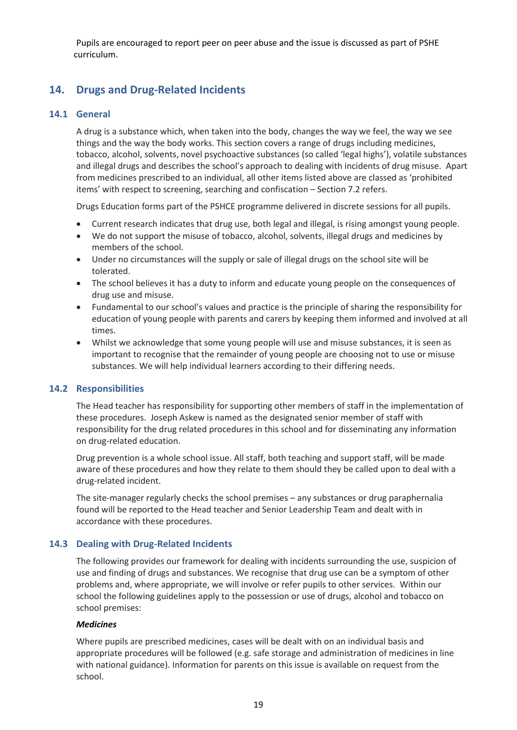Pupils are encouraged to report peer on peer abuse and the issue is discussed as part of PSHE curriculum.

## <span id="page-22-0"></span>**14. Drugs and Drug-Related Incidents**

#### <span id="page-22-1"></span>**14.1 General**

A drug is a substance which, when taken into the body, changes the way we feel, the way we see things and the way the body works. This section covers a range of drugs including medicines, tobacco, alcohol, solvents, novel psychoactive substances (so called 'legal highs'), volatile substances and illegal drugs and describes the school's approach to dealing with incidents of drug misuse. Apart from medicines prescribed to an individual, all other items listed above are classed as 'prohibited items' with respect to screening, searching and confiscation – Section 7.2 refers.

Drugs Education forms part of the PSHCE programme delivered in discrete sessions for all pupils.

- Current research indicates that drug use, both legal and illegal, is rising amongst young people.
- We do not support the misuse of tobacco, alcohol, solvents, illegal drugs and medicines by members of the school.
- Under no circumstances will the supply or sale of illegal drugs on the school site will be tolerated.
- The school believes it has a duty to inform and educate young people on the consequences of drug use and misuse.
- Fundamental to our school's values and practice is the principle of sharing the responsibility for education of young people with parents and carers by keeping them informed and involved at all times.
- Whilst we acknowledge that some young people will use and misuse substances, it is seen as important to recognise that the remainder of young people are choosing not to use or misuse substances. We will help individual learners according to their differing needs.

#### <span id="page-22-2"></span>**14.2 Responsibilities**

The Head teacher has responsibility for supporting other members of staff in the implementation of these procedures. Joseph Askew is named as the designated senior member of staff with responsibility for the drug related procedures in this school and for disseminating any information on drug-related education.

Drug prevention is a whole school issue. All staff, both teaching and support staff, will be made aware of these procedures and how they relate to them should they be called upon to deal with a drug-related incident.

The site-manager regularly checks the school premises – any substances or drug paraphernalia found will be reported to the Head teacher and Senior Leadership Team and dealt with in accordance with these procedures.

#### <span id="page-22-3"></span>**14.3 Dealing with Drug-Related Incidents**

The following provides our framework for dealing with incidents surrounding the use, suspicion of use and finding of drugs and substances. We recognise that drug use can be a symptom of other problems and, where appropriate, we will involve or refer pupils to other services. Within our school the following guidelines apply to the possession or use of drugs, alcohol and tobacco on school premises:

#### <span id="page-22-4"></span>*Medicines*

Where pupils are prescribed medicines, cases will be dealt with on an individual basis and appropriate procedures will be followed (e.g. safe storage and administration of medicines in line with national guidance). Information for parents on this issue is available on request from the school.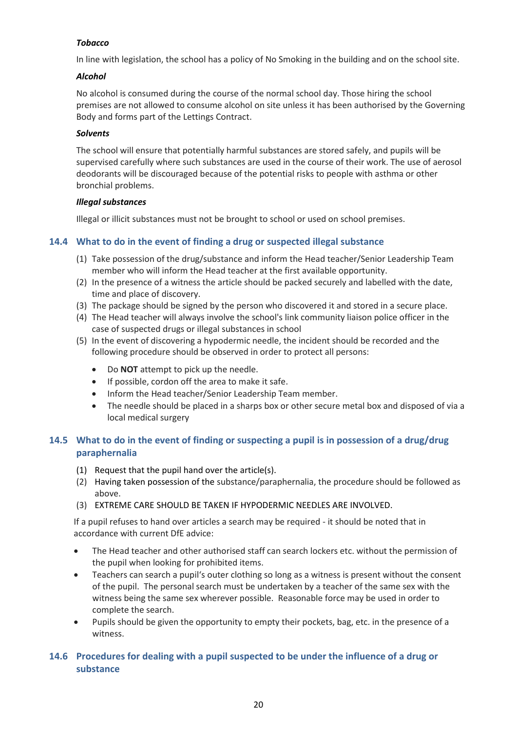#### <span id="page-23-0"></span>*Tobacco*

In line with legislation, the school has a policy of No Smoking in the building and on the school site.

#### <span id="page-23-1"></span>*Alcohol*

No alcohol is consumed during the course of the normal school day. Those hiring the school premises are not allowed to consume alcohol on site unless it has been authorised by the Governing Body and forms part of the Lettings Contract.

#### <span id="page-23-2"></span>*Solvents*

The school will ensure that potentially harmful substances are stored safely, and pupils will be supervised carefully where such substances are used in the course of their work. The use of aerosol deodorants will be discouraged because of the potential risks to people with asthma or other bronchial problems.

#### <span id="page-23-3"></span>*Illegal substances*

Illegal or illicit substances must not be brought to school or used on school premises.

#### <span id="page-23-4"></span>**14.4 What to do in the event of finding a drug or suspected illegal substance**

- (1) Take possession of the drug/substance and inform the Head teacher/Senior Leadership Team member who will inform the Head teacher at the first available opportunity.
- (2) In the presence of a witness the article should be packed securely and labelled with the date, time and place of discovery.
- (3) The package should be signed by the person who discovered it and stored in a secure place.
- (4) The Head teacher will always involve the school's link community liaison police officer in the case of suspected drugs or illegal substances in school
- (5) In the event of discovering a hypodermic needle, the incident should be recorded and the following procedure should be observed in order to protect all persons:
	- Do **NOT** attempt to pick up the needle.
	- If possible, cordon off the area to make it safe.
	- Inform the Head teacher/Senior Leadership Team member.
	- The needle should be placed in a sharps box or other secure metal box and disposed of via a local medical surgery

#### <span id="page-23-5"></span>**14.5 What to do in the event of finding or suspecting a pupil is in possession of a drug/drug paraphernalia**

- (1) Request that the pupil hand over the article(s).
- (2) Having taken possession of the substance/paraphernalia, the procedure should be followed as above.
- (3) EXTREME CARE SHOULD BE TAKEN IF HYPODERMIC NEEDLES ARE INVOLVED.

If a pupil refuses to hand over articles a search may be required - it should be noted that in accordance with current DfE advice:

- The Head teacher and other authorised staff can search lockers etc. without the permission of the pupil when looking for prohibited items.
- Teachers can search a pupil's outer clothing so long as a witness is present without the consent of the pupil. The personal search must be undertaken by a teacher of the same sex with the witness being the same sex wherever possible. Reasonable force may be used in order to complete the search.
- Pupils should be given the opportunity to empty their pockets, bag, etc. in the presence of a witness.

#### <span id="page-23-6"></span>**14.6 Procedures for dealing with a pupil suspected to be under the influence of a drug or substance**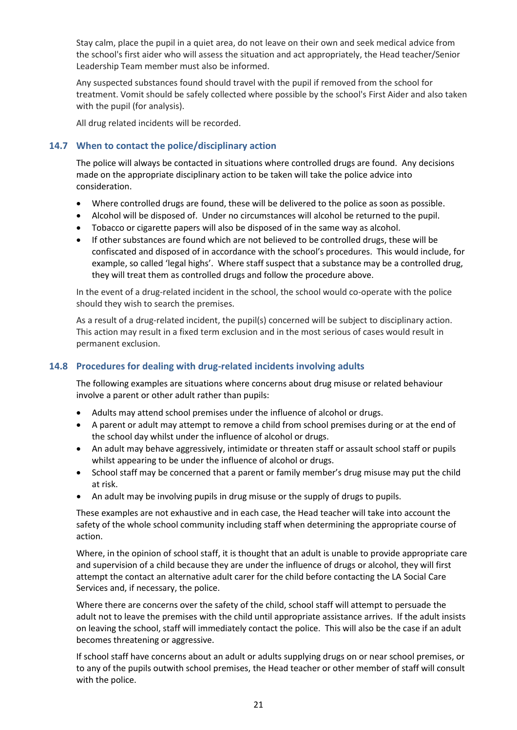Stay calm, place the pupil in a quiet area, do not leave on their own and seek medical advice from the school's first aider who will assess the situation and act appropriately, the Head teacher/Senior Leadership Team member must also be informed.

Any suspected substances found should travel with the pupil if removed from the school for treatment. Vomit should be safely collected where possible by the school's First Aider and also taken with the pupil (for analysis).

All drug related incidents will be recorded.

#### <span id="page-24-0"></span>**14.7 When to contact the police/disciplinary action**

The police will always be contacted in situations where controlled drugs are found. Any decisions made on the appropriate disciplinary action to be taken will take the police advice into consideration.

- Where controlled drugs are found, these will be delivered to the police as soon as possible.
- Alcohol will be disposed of. Under no circumstances will alcohol be returned to the pupil.
- Tobacco or cigarette papers will also be disposed of in the same way as alcohol.
- If other substances are found which are not believed to be controlled drugs, these will be confiscated and disposed of in accordance with the school's procedures. This would include, for example, so called 'legal highs'. Where staff suspect that a substance may be a controlled drug, they will treat them as controlled drugs and follow the procedure above.

In the event of a drug-related incident in the school, the school would co-operate with the police should they wish to search the premises.

As a result of a drug-related incident, the pupil(s) concerned will be subject to disciplinary action. This action may result in a fixed term exclusion and in the most serious of cases would result in permanent exclusion.

#### <span id="page-24-1"></span>**14.8 Procedures for dealing with drug-related incidents involving adults**

The following examples are situations where concerns about drug misuse or related behaviour involve a parent or other adult rather than pupils:

- Adults may attend school premises under the influence of alcohol or drugs.
- A parent or adult may attempt to remove a child from school premises during or at the end of the school day whilst under the influence of alcohol or drugs.
- An adult may behave aggressively, intimidate or threaten staff or assault school staff or pupils whilst appearing to be under the influence of alcohol or drugs.
- School staff may be concerned that a parent or family member's drug misuse may put the child at risk.
- An adult may be involving pupils in drug misuse or the supply of drugs to pupils.

These examples are not exhaustive and in each case, the Head teacher will take into account the safety of the whole school community including staff when determining the appropriate course of action.

Where, in the opinion of school staff, it is thought that an adult is unable to provide appropriate care and supervision of a child because they are under the influence of drugs or alcohol, they will first attempt the contact an alternative adult carer for the child before contacting the LA Social Care Services and, if necessary, the police.

Where there are concerns over the safety of the child, school staff will attempt to persuade the adult not to leave the premises with the child until appropriate assistance arrives. If the adult insists on leaving the school, staff will immediately contact the police. This will also be the case if an adult becomes threatening or aggressive.

If school staff have concerns about an adult or adults supplying drugs on or near school premises, or to any of the pupils outwith school premises, the Head teacher or other member of staff will consult with the police.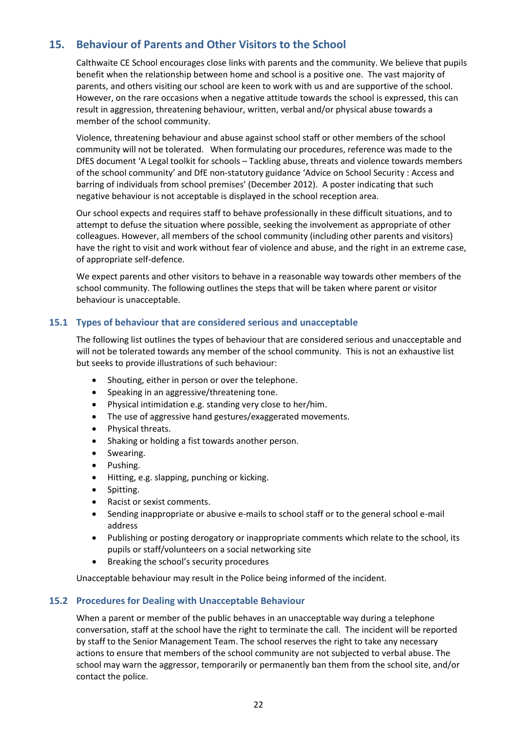## <span id="page-25-0"></span>**15. Behaviour of Parents and Other Visitors to the School**

Calthwaite CE School encourages close links with parents and the community. We believe that pupils benefit when the relationship between home and school is a positive one. The vast majority of parents, and others visiting our school are keen to work with us and are supportive of the school. However, on the rare occasions when a negative attitude towards the school is expressed, this can result in aggression, threatening behaviour, written, verbal and/or physical abuse towards a member of the school community.

Violence, threatening behaviour and abuse against school staff or other members of the school community will not be tolerated. When formulating our procedures, reference was made to the DfES document 'A Legal toolkit for schools – Tackling abuse, threats and violence towards members of the school community' and DfE non-statutory guidance 'Advice on School Security : Access and barring of individuals from school premises' (December 2012). A poster indicating that such negative behaviour is not acceptable is displayed in the school reception area.

Our school expects and requires staff to behave professionally in these difficult situations, and to attempt to defuse the situation where possible, seeking the involvement as appropriate of other colleagues. However, all members of the school community (including other parents and visitors) have the right to visit and work without fear of violence and abuse, and the right in an extreme case, of appropriate self-defence.

We expect parents and other visitors to behave in a reasonable way towards other members of the school community. The following outlines the steps that will be taken where parent or visitor behaviour is unacceptable.

#### <span id="page-25-1"></span>**15.1 Types of behaviour that are considered serious and unacceptable**

The following list outlines the types of behaviour that are considered serious and unacceptable and will not be tolerated towards any member of the school community. This is not an exhaustive list but seeks to provide illustrations of such behaviour:

- Shouting, either in person or over the telephone.
- Speaking in an aggressive/threatening tone.
- Physical intimidation e.g. standing very close to her/him.
- The use of aggressive hand gestures/exaggerated movements.
- Physical threats.
- Shaking or holding a fist towards another person.
- Swearing.
- Pushing.
- Hitting, e.g. slapping, punching or kicking.
- Spitting.
- Racist or sexist comments.
- Sending inappropriate or abusive e-mails to school staff or to the general school e-mail address
- Publishing or posting derogatory or inappropriate comments which relate to the school, its pupils or staff/volunteers on a social networking site
- Breaking the school's security procedures

Unacceptable behaviour may result in the Police being informed of the incident.

#### <span id="page-25-2"></span>**15.2 Procedures for Dealing with Unacceptable Behaviour**

When a parent or member of the public behaves in an unacceptable way during a telephone conversation, staff at the school have the right to terminate the call. The incident will be reported by staff to the Senior Management Team. The school reserves the right to take any necessary actions to ensure that members of the school community are not subjected to verbal abuse. The school may warn the aggressor, temporarily or permanently ban them from the school site, and/or contact the police.